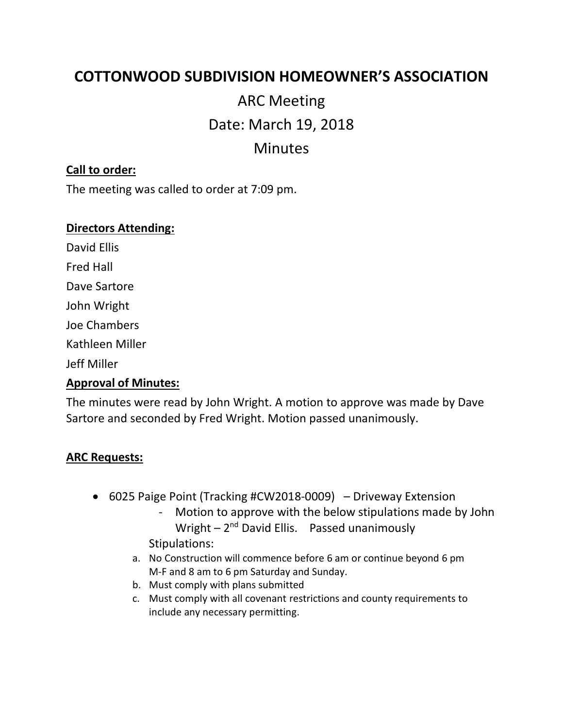# **COTTONWOOD SUBDIVISION HOMEOWNER'S ASSOCIATION**

ARC Meeting Date: March 19, 2018 Minutes

### **Call to order:**

The meeting was called to order at 7:09 pm.

#### **Directors Attending:**

David Ellis

Fred Hall

Dave Sartore

John Wright

Joe Chambers

Kathleen Miller

Jeff Miller

# **Approval of Minutes:**

The minutes were read by John Wright. A motion to approve was made by Dave Sartore and seconded by Fred Wright. Motion passed unanimously.

## **ARC Requests:**

- 6025 Paige Point (Tracking #CW2018-0009) Driveway Extension
	- Motion to approve with the below stipulations made by John Wright - 2<sup>nd</sup> David Ellis. Passed unanimously Stipulations:
	- a. No Construction will commence before 6 am or continue beyond 6 pm M-F and 8 am to 6 pm Saturday and Sunday.
	- b. Must comply with plans submitted
	- c. Must comply with all covenant restrictions and county requirements to include any necessary permitting.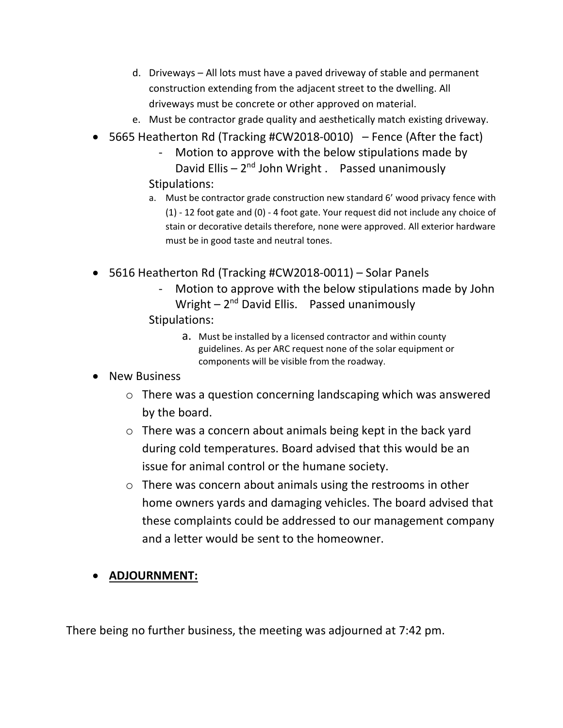- d. Driveways All lots must have a paved driveway of stable and permanent construction extending from the adjacent street to the dwelling. All driveways must be concrete or other approved on material.
- e. Must be contractor grade quality and aesthetically match existing driveway.
- 5665 Heatherton Rd (Tracking #CW2018-0010) Fence (After the fact)
	- Motion to approve with the below stipulations made by David Ellis - 2<sup>nd</sup> John Wright . Passed unanimously Stipulations:
	- a. Must be contractor grade construction new standard 6' wood privacy fence with (1) - 12 foot gate and (0) - 4 foot gate. Your request did not include any choice of stain or decorative details therefore, none were approved. All exterior hardware must be in good taste and neutral tones.
- 5616 Heatherton Rd (Tracking #CW2018-0011) Solar Panels
	- Motion to approve with the below stipulations made by John Wright - 2<sup>nd</sup> David Ellis. Passed unanimously Stipulations:
		- a. Must be installed by a licensed contractor and within county guidelines. As per ARC request none of the solar equipment or components will be visible from the roadway.
- New Business
	- o There was a question concerning landscaping which was answered by the board.
	- o There was a concern about animals being kept in the back yard during cold temperatures. Board advised that this would be an issue for animal control or the humane society.
	- o There was concern about animals using the restrooms in other home owners yards and damaging vehicles. The board advised that these complaints could be addressed to our management company and a letter would be sent to the homeowner.
- **ADJOURNMENT:**

There being no further business, the meeting was adjourned at 7:42 pm.